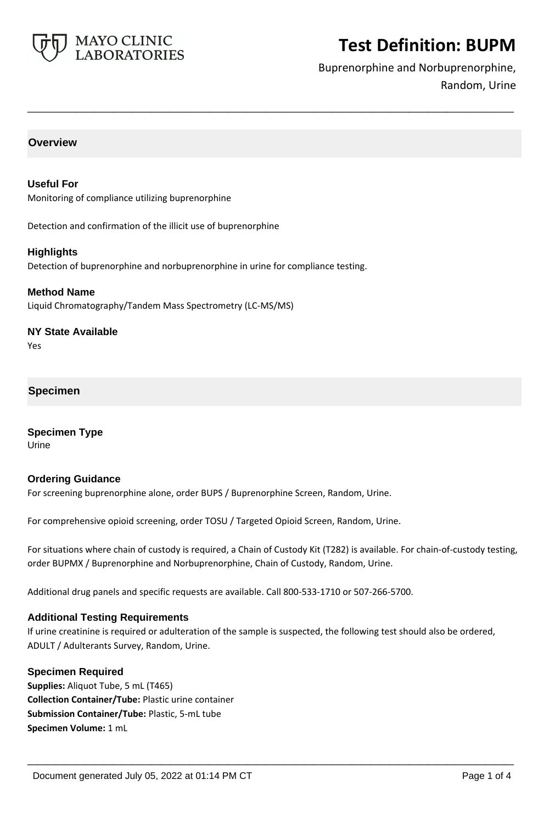

Buprenorphine and Norbuprenorphine, Random, Urine

### **Overview**

#### **Useful For**

Monitoring of compliance utilizing buprenorphine

Detection and confirmation of the illicit use of buprenorphine

#### **Highlights**

Detection of buprenorphine and norbuprenorphine in urine for compliance testing.

#### **Method Name**

Liquid Chromatography/Tandem Mass Spectrometry (LC-MS/MS)

### **NY State Available**

Yes

## **Specimen**

**Specimen Type** Urine

#### **Ordering Guidance**

For screening buprenorphine alone, order BUPS / Buprenorphine Screen, Random, Urine.

For comprehensive opioid screening, order TOSU / Targeted Opioid Screen, Random, Urine.

For situations where chain of custody is required, a Chain of Custody Kit (T282) is available. For chain-of-custody testing, order BUPMX / Buprenorphine and Norbuprenorphine, Chain of Custody, Random, Urine.

**\_\_\_\_\_\_\_\_\_\_\_\_\_\_\_\_\_\_\_\_\_\_\_\_\_\_\_\_\_\_\_\_\_\_\_\_\_\_\_\_\_\_\_\_\_\_\_\_\_\_\_**

Additional drug panels and specific requests are available. Call 800-533-1710 or 507-266-5700.

# **Additional Testing Requirements**

If urine creatinine is required or adulteration of the sample is suspected, the following test should also be ordered, ADULT / Adulterants Survey, Random, Urine.

**\_\_\_\_\_\_\_\_\_\_\_\_\_\_\_\_\_\_\_\_\_\_\_\_\_\_\_\_\_\_\_\_\_\_\_\_\_\_\_\_\_\_\_\_\_\_\_\_\_\_\_**

# **Specimen Required**

**Supplies:** Aliquot Tube, 5 mL (T465) **Collection Container/Tube:** Plastic urine container **Submission Container/Tube:** Plastic, 5-mL tube **Specimen Volume:** 1 mL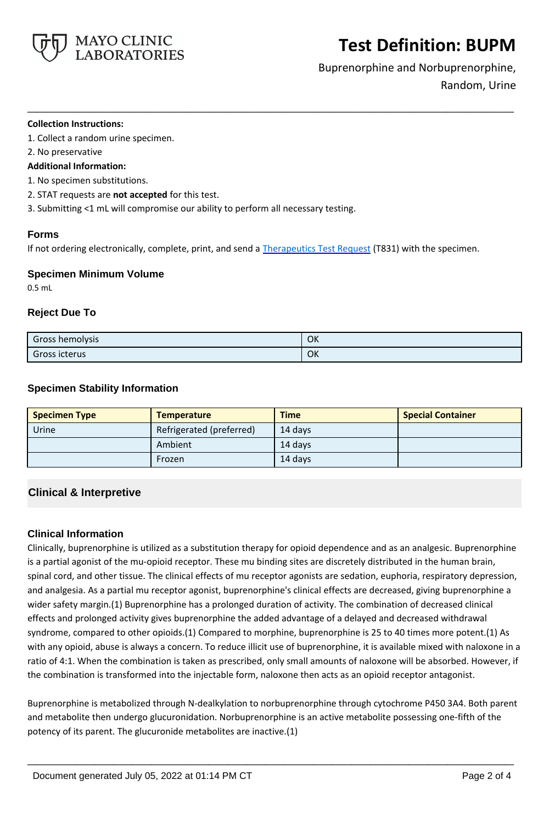

Buprenorphine and Norbuprenorphine, Random, Urine

#### **Collection Instructions:**

- 1. Collect a random urine specimen.
- 2. No preservative

#### **Additional Information:**

- 1. No specimen substitutions.
- 2. STAT requests are **not accepted** for this test.
- 3. Submitting <1 mL will compromise our ability to perform all necessary testing.

#### **Forms**

If not ordering electronically, complete, print, and send a **[Therapeutics Test Request](https://www.mayocliniclabs.com/it-mmfiles/Therapeutics-Requisition-Request-Form_MC0767-19.pdf)** (T831) with the specimen.

**\_\_\_\_\_\_\_\_\_\_\_\_\_\_\_\_\_\_\_\_\_\_\_\_\_\_\_\_\_\_\_\_\_\_\_\_\_\_\_\_\_\_\_\_\_\_\_\_\_\_\_**

#### **Specimen Minimum Volume**

0.5 mL

#### **Reject Due To**

| Gross hemolysis | OK |
|-----------------|----|
| Gross icterus   | OK |

#### **Specimen Stability Information**

| <b>Specimen Type</b> | <b>Temperature</b>       | <b>Time</b> | <b>Special Container</b> |
|----------------------|--------------------------|-------------|--------------------------|
| Urine                | Refrigerated (preferred) | 14 days     |                          |
|                      | Ambient                  | 14 days     |                          |
|                      | Frozen                   | 14 days     |                          |

#### **Clinical & Interpretive**

#### **Clinical Information**

Clinically, buprenorphine is utilized as a substitution therapy for opioid dependence and as an analgesic. Buprenorphine is a partial agonist of the mu-opioid receptor. These mu binding sites are discretely distributed in the human brain, spinal cord, and other tissue. The clinical effects of mu receptor agonists are sedation, euphoria, respiratory depression, and analgesia. As a partial mu receptor agonist, buprenorphine's clinical effects are decreased, giving buprenorphine a wider safety margin.(1) Buprenorphine has a prolonged duration of activity. The combination of decreased clinical effects and prolonged activity gives buprenorphine the added advantage of a delayed and decreased withdrawal syndrome, compared to other opioids.(1) Compared to morphine, buprenorphine is 25 to 40 times more potent.(1) As with any opioid, abuse is always a concern. To reduce illicit use of buprenorphine, it is available mixed with naloxone in a ratio of 4:1. When the combination is taken as prescribed, only small amounts of naloxone will be absorbed. However, if the combination is transformed into the injectable form, naloxone then acts as an opioid receptor antagonist.

Buprenorphine is metabolized through N-dealkylation to norbuprenorphine through cytochrome P450 3A4. Both parent and metabolite then undergo glucuronidation. Norbuprenorphine is an active metabolite possessing one-fifth of the potency of its parent. The glucuronide metabolites are inactive.(1)

**\_\_\_\_\_\_\_\_\_\_\_\_\_\_\_\_\_\_\_\_\_\_\_\_\_\_\_\_\_\_\_\_\_\_\_\_\_\_\_\_\_\_\_\_\_\_\_\_\_\_\_**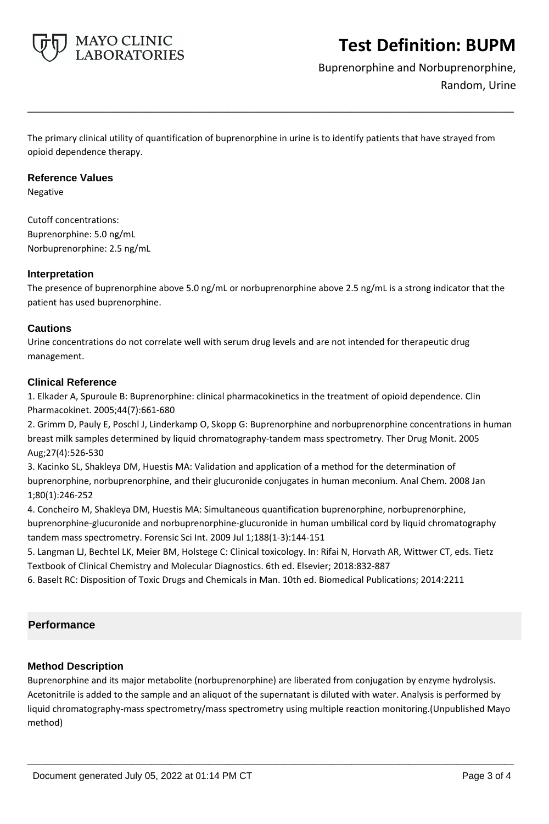

Buprenorphine and Norbuprenorphine, Random, Urine

The primary clinical utility of quantification of buprenorphine in urine is to identify patients that have strayed from opioid dependence therapy.

**\_\_\_\_\_\_\_\_\_\_\_\_\_\_\_\_\_\_\_\_\_\_\_\_\_\_\_\_\_\_\_\_\_\_\_\_\_\_\_\_\_\_\_\_\_\_\_\_\_\_\_**

#### **Reference Values**

Negative

Cutoff concentrations: Buprenorphine: 5.0 ng/mL Norbuprenorphine: 2.5 ng/mL

#### **Interpretation**

The presence of buprenorphine above 5.0 ng/mL or norbuprenorphine above 2.5 ng/mL is a strong indicator that the patient has used buprenorphine.

#### **Cautions**

Urine concentrations do not correlate well with serum drug levels and are not intended for therapeutic drug management.

#### **Clinical Reference**

1. Elkader A, Spuroule B: Buprenorphine: clinical pharmacokinetics in the treatment of opioid dependence. Clin Pharmacokinet. 2005;44(7):661-680

2. Grimm D, Pauly E, Poschl J, Linderkamp O, Skopp G: Buprenorphine and norbuprenorphine concentrations in human breast milk samples determined by liquid chromatography-tandem mass spectrometry. Ther Drug Monit. 2005 Aug;27(4):526-530

3. Kacinko SL, Shakleya DM, Huestis MA: Validation and application of a method for the determination of buprenorphine, norbuprenorphine, and their glucuronide conjugates in human meconium. Anal Chem. 2008 Jan 1;80(1):246-252

4. Concheiro M, Shakleya DM, Huestis MA: Simultaneous quantification buprenorphine, norbuprenorphine, buprenorphine-glucuronide and norbuprenorphine-glucuronide in human umbilical cord by liquid chromatography tandem mass spectrometry. Forensic Sci Int. 2009 Jul 1;188(1-3):144-151

5. Langman LJ, Bechtel LK, Meier BM, Holstege C: Clinical toxicology. In: Rifai N, Horvath AR, Wittwer CT, eds. Tietz Textbook of Clinical Chemistry and Molecular Diagnostics. 6th ed. Elsevier; 2018:832-887

6. Baselt RC: Disposition of Toxic Drugs and Chemicals in Man. 10th ed. Biomedical Publications; 2014:2211

## **Performance**

#### **Method Description**

Buprenorphine and its major metabolite (norbuprenorphine) are liberated from conjugation by enzyme hydrolysis. Acetonitrile is added to the sample and an aliquot of the supernatant is diluted with water. Analysis is performed by liquid chromatography-mass spectrometry/mass spectrometry using multiple reaction monitoring.(Unpublished Mayo method)

**\_\_\_\_\_\_\_\_\_\_\_\_\_\_\_\_\_\_\_\_\_\_\_\_\_\_\_\_\_\_\_\_\_\_\_\_\_\_\_\_\_\_\_\_\_\_\_\_\_\_\_**